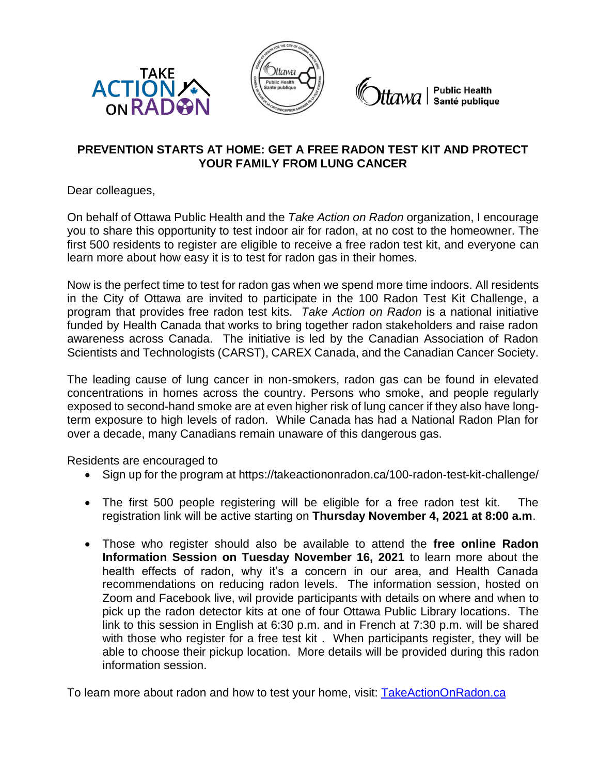



*ttawa* | Public Health<br>tawa | Santé publique

## **PREVENTION STARTS AT HOME: GET A FREE RADON TEST KIT AND PROTECT YOUR FAMILY FROM LUNG CANCER**

Dear colleagues,

On behalf of Ottawa Public Health and the *Take Action on Radon* organization, I encourage you to share this opportunity to test indoor air for radon, at no cost to the homeowner. The first 500 residents to register are eligible to receive a free radon test kit, and everyone can learn more about how easy it is to test for radon gas in their homes.

Now is the perfect time to test for radon gas when we spend more time indoors. All residents in the City of Ottawa are invited to participate in the 100 Radon Test Kit Challenge, a program that provides free radon test kits. *Take Action on Radon* is a national initiative funded by Health Canada that works to bring together radon stakeholders and raise radon awareness across Canada. The initiative is led by the Canadian Association of Radon Scientists and Technologists (CARST), CAREX Canada, and the Canadian Cancer Society.

The leading cause of lung cancer in non-smokers, radon gas can be found in elevated concentrations in homes across the country. Persons who smoke, and people regularly exposed to second-hand smoke are at even higher risk of lung cancer if they also have longterm exposure to high levels of radon. While Canada has had a National Radon Plan for over a decade, many Canadians remain unaware of this dangerous gas.

Residents are encouraged to

- Sign up for the program at<https://takeactiononradon.ca/100-radon-test-kit-challenge/>
- The first 500 people registering will be eligible for a free radon test kit. The registration link will be active starting on **Thursday November 4, 2021 at 8:00 a.m**.
- Those who register should also be available to attend the **free online Radon Information Session on Tuesday November 16, 2021** to learn more about the health effects of radon, why it's a concern in our area, and Health Canada recommendations on reducing radon levels. The information session, hosted on Zoom and Facebook live, wil provide participants with details on where and when to pick up the radon detector kits at one of four Ottawa Public Library locations. The link to this session in English at 6:30 p.m. and in French at 7:30 p.m. will be shared with those who register for a free test kit . When participants register, they will be able to choose their pickup location. More details will be provided during this radon information session.

To learn more about radon and how to test your home, visit: [TakeActionOnRadon.ca](file:///C:/Users/robinsonma/AppData/Local/Microsoft/Windows/INetCache/Content.Outlook/TUSU1LU2/TakeActionOnRadon.ca)